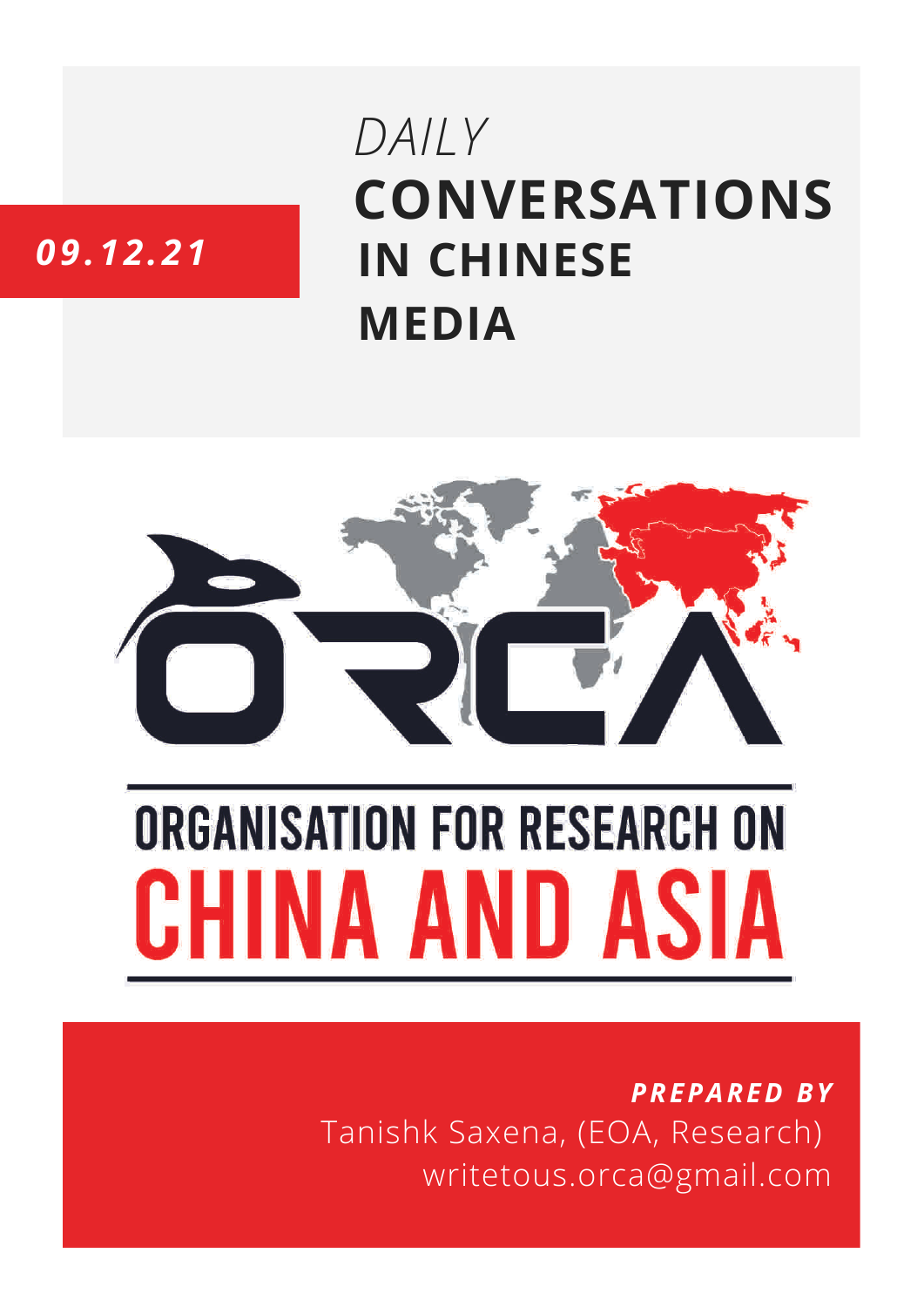## **CONVERSATIONS IN CHINESE MEDIA** *DAILY*

### *09.12.21*



# **ORGANISATION FOR RESEARCH ON** HINA AND ASIA

*PREPARED BY* Tanishk Saxena, (EOA, Research) writetous.orca@gmail.com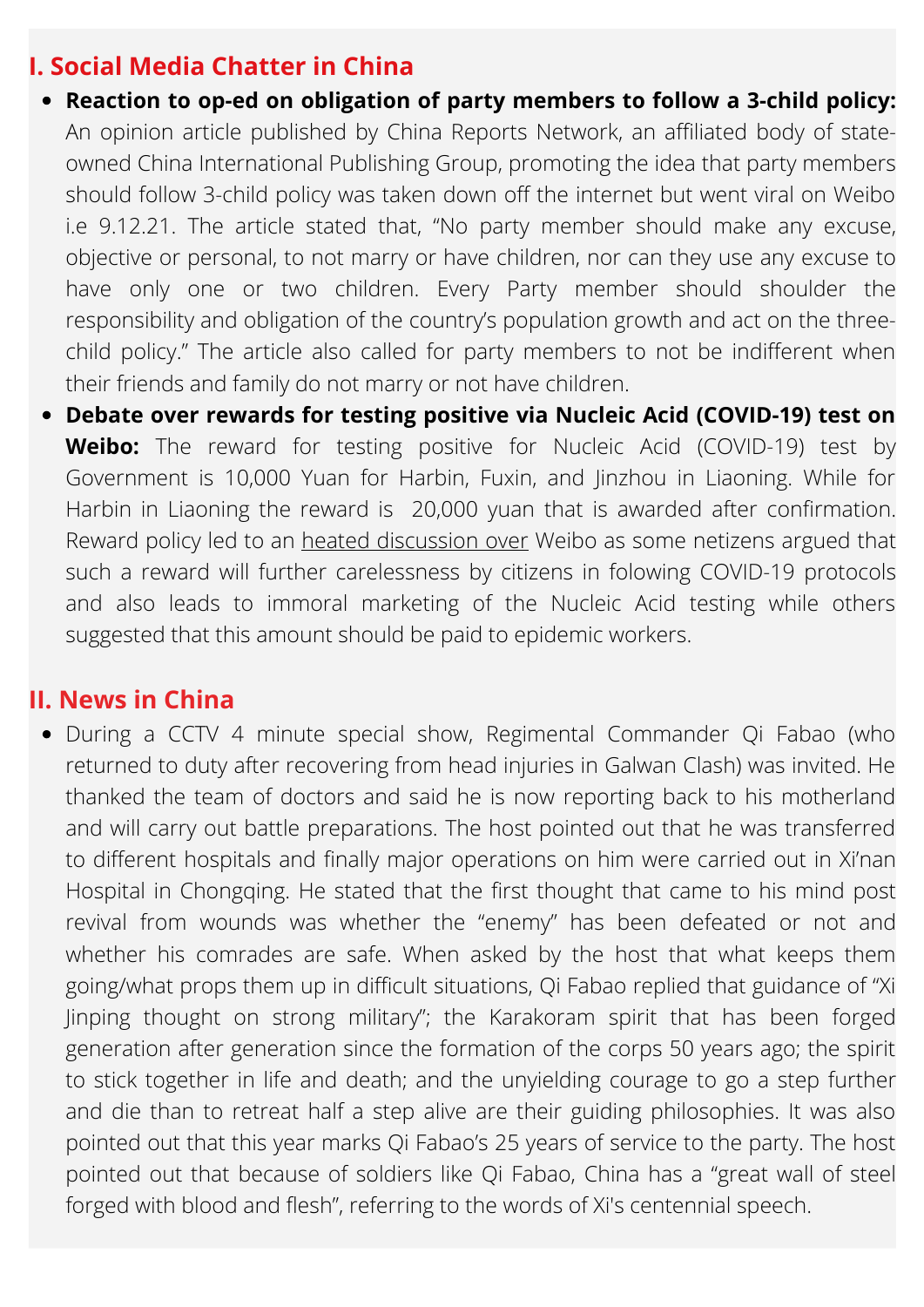#### **I. Social Media Chatter in China**

- **Reaction to op-ed on obligation of party members to follow a 3-child policy:** An opinion article published by China Reports Network, an affiliated body of stateowned China International Publishing Group, promoting the idea that party members should follow 3-child policy was taken down off the internet but went viral on Weibo i.e 9.12.21. The article stated that, "No party member should make any excuse, objective or personal, to not marry or have children, nor can they use any excuse to have only one or two children. Every Party member should shoulder the responsibility and obligation of the country's population growth and act on the threechild policy." The article also called for party members to not be indifferent when their friends and family do not marry or not have children.
- **Debate over rewards for testing positive via Nucleic Acid (COVID-19) test on Weibo:** The reward for testing positive for Nucleic Acid (COVID-19) test by Government is 10,000 Yuan for Harbin, Fuxin, and Jinzhou in Liaoning. While for Harbin in Liaoning the reward is 20,000 yuan that is awarded after confirmation. Reward policy led to an heated [discussion](http://www.workercn.cn/34199/202112/10/211210140817136.shtml) over Weibo as some netizens argued that such a reward will further carelessness by citizens in folowing COVID-19 protocols and also leads to immoral marketing of the Nucleic Acid testing while others suggested that this amount should be paid to epidemic workers.

#### **II. News in China**

During a CCTV 4 minute special show, Regimental Commander Qi Fabao (who returned to duty after recovering from head injuries in Galwan Clash) was invited. He thanked the team of doctors and said he is now reporting back to his motherland and will carry out battle preparations. The host pointed out that he was transferred to different hospitals and finally major operations on him were carried out in Xi'nan Hospital in Chongqing. He stated that the first thought that came to his mind post revival from wounds was whether the "enemy" has been defeated or not and whether his comrades are safe. When asked by the host that what keeps them going/what props them up in difficult situations, Qi Fabao replied that guidance of "Xi Jinping thought on strong military"; the Karakoram spirit that has been forged generation after generation since the formation of the corps 50 years ago; the spirit to stick together in life and death; and the unyielding courage to go a step further and die than to retreat half a step alive are their guiding philosophies. It was also pointed out that this year marks Qi Fabao's 25 years of service to the party. The host pointed out that because of soldiers like Qi Fabao, China has a "great wall of steel forged with blood and flesh", referring to the words of Xi's centennial speech.